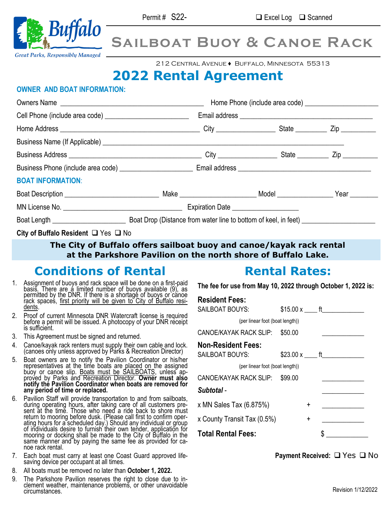

# **Sailboat Buoy & Canoe Rack**

212 Central Avenue ♦ Buffalo, Minnesota 55313

## **2022 Rental Agreement**

#### **OWNER AND BOAT INFORMATION:**

| <b>BOAT INFORMATION:</b>                      |  |  |  |
|-----------------------------------------------|--|--|--|
|                                               |  |  |  |
|                                               |  |  |  |
|                                               |  |  |  |
| City of Buffalo Resident $\Box$ Yes $\Box$ No |  |  |  |

#### **The City of Buffalo offers sailboat buoy and canoe/kayak rack rental at the Parkshore Pavilion on the north shore of Buffalo Lake.**

## **Conditions of Rental**

- 1. Assignment of buoys and rack space will be done on a first-paid basis. There are a limited number of buoys available (9), as permitted by the DNR. If there is a shortage of buoys or canoe rack spaces, first priority will be given to City of Buffalo residents.
- 2. Proof of current Minnesota DNR Watercraft license is required before a permit will be issued. A photocopy of your DNR receipt is sufficient.
- 3. This Agreement must be signed and returned.
- 4. Canoe/kayak rack renters must supply their own cable and lock. (canoes only unless approved by Parks & Recreation Director)
- 5. Boat owners are to notify the Pavilion Coordinator or his/her representatives at the time boats are placed on the assigned buoy or canoe slip. Boats must be SAILBOATS, unless approved by Parks and Recreation Director. **Owner must also notify the Pavilion Coordinator when boats are removed for any period of time or replaced.**
- 6. Pavilion Staff will provide transportation to and from sailboats, during operating hours, after taking care of all customers present at the time. Those who need a ride back to shore must return to mooring before dusk. (Please call first to confirm operating hours for a scheduled day.) Should any individual or group of individuals desire to furnish their own tender, application for mooring or docking shall be made to the City of Buffalo in the same manner and by paying the same fee as provided for canoe rack rental.
- 7. Each boat must carry at least one Coast Guard approved lifesaving device per occupant at all times.
- 8. All boats must be removed no later than **October 1, 2022.**
- 9. The Parkshore Pavilion reserves the right to close due to inclement weather, maintenance problems, or other unavoidable circumstances.

## **Rental Rates:**

**The fee for use from May 10, 2022 through October 1, 2022 is:**

## **Resident Fees:**

| <b>SAILBOAT BOUYS:</b>          | $$15.00 \times$ ft |   |  |  |  |
|---------------------------------|--------------------|---|--|--|--|
| (per linear foot (boat length)) |                    |   |  |  |  |
| CANOE/KAYAK RACK SLIP:          | \$50.00            |   |  |  |  |
| <b>Non-Resident Fees:</b>       |                    |   |  |  |  |
| <b>SAILBOAT BOUYS:</b>          |                    |   |  |  |  |
| (per linear foot (boat length)) |                    |   |  |  |  |
| CANOE/KAYAK RACK SLIP:          | \$99.00            |   |  |  |  |
| Subtotal -                      |                    |   |  |  |  |
| x MN Sales Tax (6.875%)         |                    | + |  |  |  |
| x County Transit Tax (0.5%)     |                    | ÷ |  |  |  |
| <b>Total Rental Fees:</b>       |                    |   |  |  |  |

**Payment Received:** ❑ Yes ❑ No